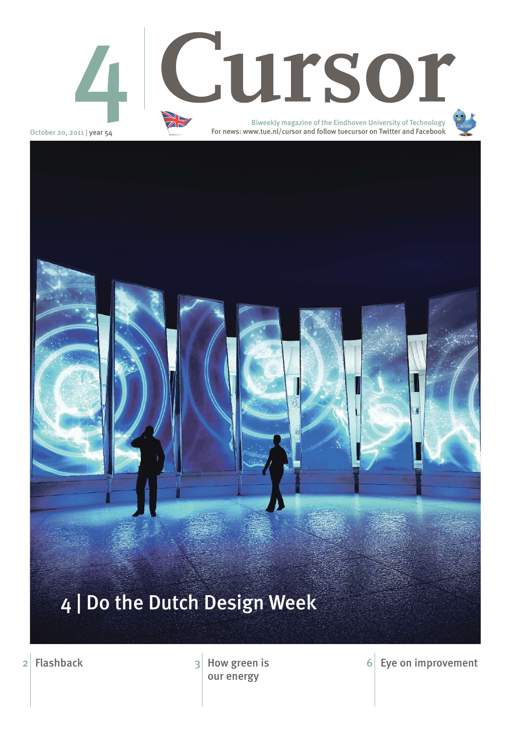October 20, 2011 | year 54



2 Flashback How green is our energy

 $6$  Eye on improvement

## 4 | Do the Dutch Design Week

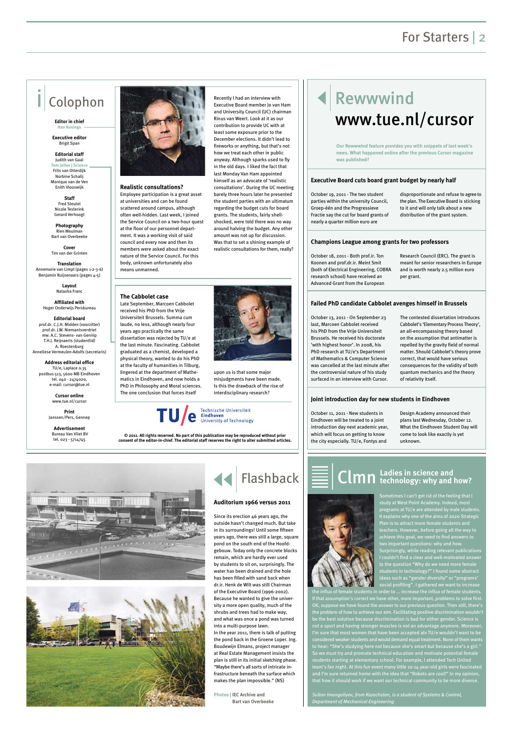### For Starters | 2

**Realistic consultations?**

Employee participation is a great asset at universities and can be found scattered around campus, although often well-hidden. Last week, I joined the Service Council on a two-hour quest at the floor of our personnel department. It was a working visit of said council and every now and then its members were asked about the exact nature of the Service Council. For this body, unknown unfortunately also

means unmanned.

Recently I had an interview with Executive Board member Jo van Ham and University Council (UC) chairman Rinus van Weert. Look at it as our contribution to provide UC with at least some exposure prior to the December elections. It didn't lead to fireworks or anything, but that's not how we treat each other in public anyway. Although sparks used to fly in the old days. I liked the fact that last Monday Van Ham appointed himself as an advocate of 'realistic

consultations'. During the UC meeting barely three hours later he presented the student parties with an ultimatum regarding the budget cuts for board grants. The students, fairly shellshocked, were told there was no way around halving the budget. Any other amount was not up for discussion. Was that to set a shining example of realistic consultations for them, really?



### Rewwwind www.tue.nl/cursor

### Colophon

**Editor in chief Han Konings**

**Executive editor**  Brigit Span

**Editorial staff** Judith van Gaal **Tom Jeltes | Science** Frits van Otterdijk Norbine Schalij Monique van de Ven Enith Vlooswijk

**Staff**  Fred Steutel Nicole Testerink Gerard Verhoogt

**Photography**  Rien Meulman Bart van Overbeeke

**Cover** Tim van der Grinten

**Translation** Annemarie van Limpt (pages 1-2-3-6) Benjamin Ruijsenaars (pages 4-5)

> **Layout** Natasha Franc

**Affiliated with**  Hoger Onderwijs Persbureau

**Editorial board** prof.dr. C.J.H. Midden (voorzitter) prof.dr. J.W. Niemantsverdriet mw. A.C. Stevens- van Gennip T.H.J. Reijnaerts (studentlid) A. Roestenburg Anneliese Vermeulen-Adolfs (secretaris)

**Address editorial office** TU/e, Laplace 0.35 postbus 513, 5600 MB Eindhoven tel. 040 - 2474020, e-mail: cursor@tue.nl

> **Cursor online** www.tue.nl/cursor

**Print** Janssen/Pers, Gennep

**Advertisement** Bureau Van Vliet BV tel. 023 - 5714745



**© 2011. All rights reserved. No part of this publication may be reproduced without prior consent of the editor-in-chief. The editorial staff reserves the right to alter submitted articles.**



October 19, 2011 - The two student parties within the university Council, Groep-één and the Progressieve Fractie say the cut for board grants of nearly a quarter million euro are

disproportionate and refuse to agree to the plan. The Executive Board is sticking to it and will only talk about a new distribution of the grant system.

October 18, 2011 - Both prof.ir. Ton Koonen and prof.dr.ir. Meint Smit (both of Electrical Engineering, COBRA research school) have received an Advanced Grant from the European

Research Council (ERC). The grant is meant for senior researchers in Europe and is worth nearly 2.5 million euro per grant.

October 11, 2011 - New students in



Design Academy announced their plans last Wednesday, October 12. What the Eindhoven Student Day will come to look like exactly is yet unknown.

influx of female students in order to ... increase the influx of female students. f that assumption's correct we have other, more important, problems to solve first OK, suppose we have found the answer to our previous question. Then still, there's the problem of how to achieve our aim. Facilitating positive discrimination wouldn't be the best solution because discrimination is bad for either gender. Science is not a sport and having stronger muscles is not an advantage anymore. Moreover, I'm sure that most women that have been accepted atv TU/e wouldn't want to be considered weaker students and would demand equal treatment. None of them wants to hear: "She's studying here not because she's smart but because she's a girl." So we must try and promote technical education and motivate potential female students starting at elementary school. For example, I attended Tech United team's fan night. At this fun event many little 10-14 year-old girls were fascinated and I'm sure returned home with the idea that "Robots are cool!" In my opinion, that how it should work if we want our technical community to be more diverse.

October 13, 2011 - On September 23 last, Marcoen Cabbolet received his PhD from the Vrije Universiteit Brussels. He received his doctorate 'with highest honor'. In 2008, his PhD research at TU/e's Department of Mathematics & Computer Science was cancelled at the last minute after the controversial nature of his study surfaced in an interview with Cursor.

The contested dissertation introduces Cabbolet's 'Elementary Process Theory', an all-encompassing theory based on the assumption that antimatter is repelled by the gravity field of normal matter. Should Cabbolet's theory prove correct, that would have serious consequences for the validity of both quantum mechanics and the theory

of relativity itself.

#### **Executive Board cuts board grant budget by nearly half**

#### **Champions League among grants for two professors**

#### **Joint introduction day for new students in Eindhoven**

#### **Failed PhD candidate Cabbolet avenges himself in Brussels**

**Our Rewwwind feature provides you with snippets of last week's news. What happened online after the previous Cursor magazine was published?**

#### **The Cabbolet case**

Late September, Marcoen Cabbolet received his PhD from the Vrije Universiteit Brussels. Summa cum laude, no less, although nearly four years ago practically the same dissertation was rejected by TU/e at the last minute. Fascinating. Cabbolet graduated as a chemist, developed a physical theory, wanted to do his PhD at the faculty of humanities in Tilburg, lingered at the department of Mathematics in Eindhoven, and now holds a PhD in Philosophy and Moral sciences. The one conclusion that forces itself



Technische Universiteit<br>**Eindhoven**<br>University of Technology





to the question "Why do we need more female students in technology?" I found some abstract ideas such as "gender diversity" or "programs' social profiling". I gathered we want to increase

*Sultan Imangaliyev, from Kazachstan, is a student of Systems & Control, Department of Mechanical Engineering*

## **Ladies in science and** Clmn **technology: why and how?**

Since its erection 46 years ago, the outside hasn't changed much. But take in its surroundings! Until some fifteen years ago, there was still a large, square pond on the south end of the Hoofdgebouw. Today only the concrete blocks remain, which are hardly ever used

by students to sit on, surprisingly. The water has been drained and the hole has been filled with sand back when dr.ir. Henk de Wilt was still Chairman of the Executive Board (1996-2002). Because he wanted to give the university a more open quality, much of the shrubs and trees had to make way, and what was once a pond was turned into a multi-purpose lawn. In the year 2011, there is talk of putting the pond back in the Groene Loper. Ing. Boudewijn Elmans, project manager at Real Estate Management insists the plan is still in its initial sketching phase. "Maybe there's all sorts of intricate infrastructure beneath the surface which makes the plan impossible." (NS)

**Photos | IEC Archive and Bart van Overbeeke**



**Auditorium 1966 versus 2011**

Flashback

upon us is that some major misjudgments have been made. Is this the drawback of the rise of interdisciplinary research?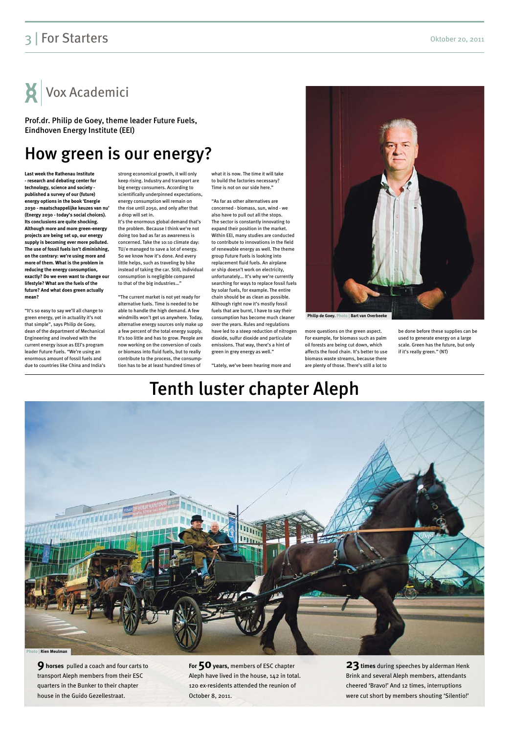### Tenth luster chapter Aleph



**9 horses** pulled a coach and four carts to transport Aleph members from their ESC quarters in the Bunker to their chapter house in the Guido Gezellestraat.

**For 50 years,** members of ESC chapter Aleph have lived in the house, 142 in total. 120 ex-residents attended the reunion of October 8, 2011.

**23 times** during speeches by alderman Henk Brink and several Aleph members, attendants cheered 'Bravo!' And 12 times, interruptions were cut short by members shouting 'Silentio!'

### How green is our energy?

**Last week the Rathenau Institute - research and debating center for technology, science and society published a survey of our (future) energy options in the book 'Energie 2030 - maatschappelijke keuzes van nu' (Energy 2030 - today's social choices). Its conclusions are quite shocking. Although more and more green-energy projects are being set up, our energy supply is becoming ever more polluted. The use of fossil fuels isn't diminishing, on the contrary: we're using more and more of them. What is the problem in reducing the energy consumption, exactly? Do we even want to change our lifestyle? What are the fuels of the future? And what does green actually mean?**

"It's so easy to say we'll all change to green energy, yet in actuality it's not that simple", says Philip de Goey, dean of the department of Mechanical Engineering and involved with the current energy issue as EEI's program leader Future Fuels. "We're using an enormous amount of fossil fuels and due to countries like China and India's

strong economical growth, it will only keep rising. Industry and transport are big energy consumers. According to scientifically underpinned expectations, energy consumption will remain on the rise until 2050, and only after that a drop will set in.

It's the enormous global demand that's the problem. Because I think we're not doing too bad as far as awareness is concerned. Take the 10:10 climate day: TU/e managed to save a lot of energy. So we know how it's done. And every little helps, such as traveling by bike instead of taking the car. Still, individual consumption is negligible compared to that of the big industries…"

"The current market is not yet ready for alternative fuels. Time is needed to be able to handle the high demand. A few windmills won't get us anywhere. Today, alternative energy sources only make up a few percent of the total energy supply. It's too little and has to grow. People are now working on the conversion of coals or biomass into fluid fuels, but to really contribute to the process, the consumption has to be at least hundred times of

what it is now. The time it will take to build the factories necessary? Time is not on our side here."

"As far as other alternatives are concerned - biomass, sun, wind - we also have to pull out all the stops. The sector is constantly innovating to expand their position in the market. Within EEI, many studies are conducted to contribute to innovations in the field of renewable energy as well. The theme group Future Fuels is looking into replacement fluid fuels. An airplane or ship doesn't work on electricity, unfortunately… It's why we're currently searching for ways to replace fossil fuels by solar fuels, for example. The entire chain should be as clean as possible. Although right now it's mostly fossil fuels that are burnt, I have to say their consumption has become much cleaner over the years. Rules and regulations have led to a steep reduction of nitrogen dioxide, sulfur dioxide and particulate emissions. That way, there's a hint of green in grey energy as well."

"Lately, we've been hearing more and

more questions on the green aspect. For example, for biomass such as palm oil forests are being cut down, which affects the food chain. It's better to use biomass waste streams, because there are plenty of those. There's still a lot to

be done before these supplies can be used to generate energy on a large scale. Green has the future, but only if it's really green." (NT)

### 3 | For Starters Oktober 20, 2011

Vox Academici

Prof.dr. Philip de Goey, theme leader Future Fuels, Eindhoven Energy Institute (EEI)

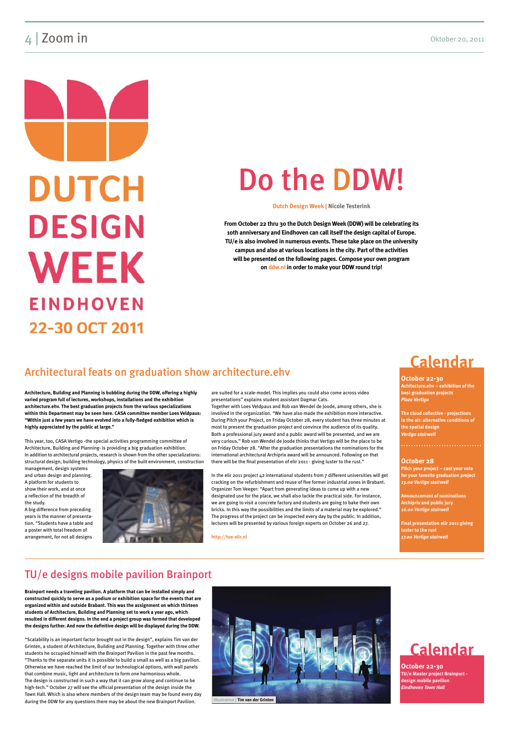### and **Zoom in** Oktober 20, 2011

**DUTCH DESIGN WEEK EINDHOVEN** 22-30 OCT 2011

**Architecture, Building and Planning is bubbling during the DDW, offering a highly varied program full of lectures, workshops, installations and the exhibition architecture.ehv. The best graduation projects from the various specializations within this Department may be seen here. CASA committee member Loes Veldpaus: "Within just a few years we have evolved into a fully-fledged exhibition which is highly appreciated by the public at large."**

This year, too, CASA Vertigo -the special activities programming committee of Architecture, Building and Planning- is providing a big graduation exhibition. In addition to architectural projects, research is shown from the other specializations: structural design, building technology, physics of the built environment, construction

management, design systems and urban design and planning. A platform for students to show their work, and at once a reflection of the breadth of the study.

A big difference from preceding years is the manner of presentation. "Students have a table and a poster with total freedom of arrangement, for not all designs



are suited for a scale-model. This implies you could also come across video presentations" explains student assistant Dagmar Cats.

Together with Loes Veldpaus and Rob van Wendel de Joode, among others, she is involved in the organization. "We have also made the exhibition more interactive. During Pitch your Project, on Friday October 28, every student has three minutes at most to present the graduation project and convince the audience of its quality. Both a professional jury award and a public award will be presented, and we are very curious." Rob van Wendel de Joode thinks that Vertigo will be the place to be on Friday October 28. "After the graduation presentations the nominations for the international architectural Archiprix award will be announced. Following on that there will be the final presentation of elir 2011 - giving luster to the rust."

In the elir 2011 project 42 international students from 7 different universities will get cracking on the refurbishment and reuse of five former industrial zones in Brabant. Organizer Tom Veeger: "Apart from generating ideas to come up with a new designated use for the place, we shall also tackle the practical side. For instance, we are going to visit a concrete factory and students are going to bake their own bricks. In this way the possibilities and the limits of a material may be explored." The progress of the project can be inspected every day by the public. In addition, lectures will be presented by various foreign experts on October 26 and 27.

**http://tue-elir.nl**

**Brainport needs a traveling pavilion. A platform that can be installed simply and constructed quickly to serve as a podium or exhibition space for the events that are organized within and outside Brabant. This was the assignment on which thirteen students of Architecture, Building and Planning set to work a year ago, which resulted in different designs. In the end a project group was formed that developed the designs further. And now the definitive design will be displayed during the DDW.**

"Scalability is an important factor brought out in the design", explains Tim van der Grinten, a student of Architecture, Building and Planning. Together with three other students he occupied himself with the Brainport Pavilion in the past few months. "Thanks to the separate units it is possible to build a small as well as a big pavilion. Otherwise we have reached the limit of our technological options, with wall panels that combine music, light and architecture to form one harmonious whole. The design is constructed in such a way that it can grow along and continue to be high-tech." October 27 will see the official presentation of the design inside the Town Hall. Which is also where members of the design team may be found every day during the DDW for any questions there may be about the new Brainport Pavilion.

**October 22-30 Achitecture.ehv – exhibition of the best graduation projects** *Plaza Vertigo*

**The cloud collective - projections in the air: alternative conditions of the spatial design**  *Vertigo stairwell*

#### **October 28**

**Pitch your project – cast your vote for your favorite graduation project** *13.00 Vertigo stairwell*

**Announcement of nominations Archiprix and public jury** *16.00 Vertigo stairwell*

**Final presentation elir 2011 giving luster to the rust** *17.00 Vertigo stairwell*

**October 22-30 TU/e Master project Brainport design mobile pavilion** *Eindhoven Town Hall*

### **Calendar**



### TU/e designs mobile pavilion Brainport

### Architectural feats on graduation show architecture.ehv

# Do the DDW!

**Dutch Design Week | Nicole Testerink**

**From October 22 thru 30 the Dutch Design Week (DDW) will be celebrating its 10th anniversary and Eindhoven can call itself the design capital of Europe. TU/e is also involved in numerous events. These take place on the university campus and also at various locations in the city. Part of the activities will be presented on the following pages. Compose your own program on ddw.nl in order to make your DDW round trip!**

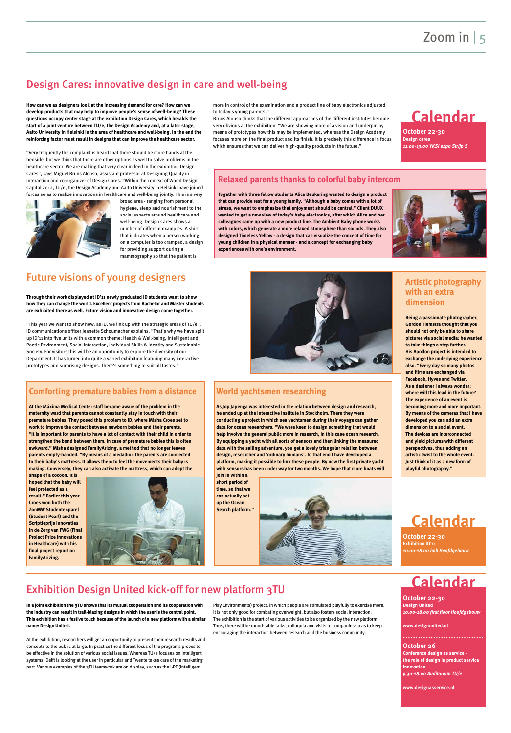**How can we as designers look at the increasing demand for care? How can we develop products that may help to improve people's sense of well-being? These questions occupy center stage at the exhibition Design Cares, which heralds the start of a joint venture between TU/e, the Design Academy and, at a later stage, Aalto University in Helsinki in the area of healthcare and well-being. In the end the reinforcing factor must result in designs that can improve the healthcare sector.**

Bruns Alonso thinks that the different approaches of the different institutes become very obvious at the exhibition. "We are showing more of a vision and underpin by means of prototypes how this may be implemented, whereas the Design Academy focuses more on the final product and its finish. It is precisely this difference in focus which ensures that we can deliver high-quality products in the future."

"Very frequently the complaint is heard that there should be more hands at the bedside, but we think that there are other options as well to solve problems in the healthcare sector. We are making that very clear indeed in the exhibition Design Cares", says Miguel Bruns Alonso, assistant professor at Designing Quality in Interaction and co-organizer of Design Cares. "Within the context of World Design Capital 2012, TU/e, the Design Academy and Aalto University in Helsinki have joined forces so as to realize innovations in healthcare and well-being jointly. This is a very



broad area - ranging from personal hygiene, sleep and nourishment to the social aspects around healthcare and well-being. Design Cares shows a number of different examples. A shirt that indicates when a person working on a computer is too cramped, a design for providing support during a mammography so that the patient is

more in control of the examination and a product line of baby electronics adjusted to today's young parents."

"This year we want to show how, as ID, we link up with the strategic areas of TU/e", ID communications officer Jeanette Schoumacher explains. "That's why we have split up ID'11 into five units with a common theme: Health & Well-being, Intelligent and Poetic Environment, Social Interaction, Individual Skills & Identity and Sustainable Society. For visitors this will be an opportunity to explore the diversity of our Department. It has turned into quite a varied exhibition featuring many interactive prototypes and surprising designs. There's something to suit all tastes."

**In a joint exhibition the 3TU shows that its mutual cooperation and its cooperation with the industry can result in trail-blazing designs in which the user is the central point. This exhibition has a festive touch because of the launch of a new platform with a similar name: Design United.** 

At the exhibition, researchers will get an opportunity to present their research results and concepts to the public at large. In practice the different focus of the programs proves to be effective in the solution of various social issues. Whereas TU/e focuses on intelligent systems, Delft is looking at the user in particular and Twente takes care of the marketing part. Various examples of the 3TU teamwork are on display, such as the i-PE (Intelligent

Play Environments) project, in which people are stimulated playfully to exercise more. It is not only good for combating overweight, but also fosters social interaction. The exhibition is the start of various activities to be organized by the new platform. Thus, there will be round-table talks, colloquia and visits to companies so as to keep encouraging the interaction between research and the business community.

**Through their work displayed at ID'11 newly graduated ID students want to show how they can change the world. Excellent projects from Bachelor and Master students are exhibited there as well. Future vision and innovative design come together.** 

**Together with three fellow students Alice Beukering wanted to design a product that can provide rest for a young family. "Although a baby comes with a lot of stress, we want to emphasize that enjoyment should be central." Client DUUX wanted to get a new view of today's baby electronics, after which Alice and her colleagues came up with a new product line. The Ambient Baby phone works with colors, which generate a more relaxed atmosphere than sounds. They also designed Timeless Yellow - a design that can visualize the concept of time for young children in a physical manner - and a concept for exchanging baby experiences with one's environment.** 





#### **Relaxed parents thanks to colorful baby intercom**

**October 22-30 Design cares** *11.00-19.00 YKSI expo Strijp S*

**October 22-30 Design United** *10.00-18.00 first floor Hoofdgebouw*

**www.designunited.nl** 

**October 26 Conference design as service the role of design in product service innovation** *9.30-18.00 Auditorium TU/e*

**www.designasservice.nl** 

**October 22-30 Exhibition ID'11** *10.00-18.00 hall Hoofdgebouw*



### Design Cares: innovative design in care and well-being

### Exhibition Design United kick-off for new platform 3TU

### Future visions of young designers

#### **Comforting premature babies from a distance**

**At the Máxima Medical Center staff became aware of the problem in the maternity ward that parents cannot constantly stay in touch with their premature babies. They posed this problem to ID, where Misha Croes set to work to improve the contact between newborn babies and their parents. "It is important for parents to have a lot of contact with their child in order to strengthen the bond between them. In case of premature babies this is often awkward." Misha designed FamilyArizing, a method that no longer leaves parents empty-handed. "By means of a medallion the parents are connected to their baby's mattress. It allows them to feel the movements their baby is making. Conversely, they can also activate the mattress, which can adopt the** 

**shape of a cocoon. It is hoped that the baby will feel protected as a result." Earlier this year Croes won both the ZonMW Studentenparel (Student Pearl) and the Scriptieprijs Innovaties in de Zorg van FWG (Final Project Prize Innovations in Healthcare) with his final project report on FamilyArizing.**



#### **World yachtsmen researching**

**As Jop Japenga was interested in the relation between design and research, he ended up at the Interactive Institute in Stockholm. There they were conducting a project in which sea yachtsmen during their voyage can gather data for ocean researchers. "We were keen to design something that would help involve the general public more in research, in this case ocean research. By equipping a yacht with all sorts of sensors and then linking the measured data with the sailing adventure, you get a lovely triangular relation between design, researcher and 'ordinary humans'. To that end I have developed a platform, making it possible to link these people. By now the first private yacht with sensors has been under way for two months. We hope that more boats will** 

**join in within a short period of time, so that we can actually set up the Ocean Search platform."**



**Being a passionate photographer, Gordon Tiemstra thought that you should not only be able to share pictures via social media: he wanted to take things a step further. His Apollon project is intended to exchange the underlying experience also. "Every day so many photos and films are exchanged via Facebook, Hyves and Twitter. As a designer I always wonder: where will this lead in the future? The experience of an event is becoming more and more important. By means of the cameras that I have developed you can add an extra dimension to a social event. The devices are interconnected and yield pictures with different perspectives, thus adding an artistic twist to the whole event. Just think of it as a new form of playful photography."**

#### **Artistic photography with an extra dimension**

### **Calendar**

### **Calendar**